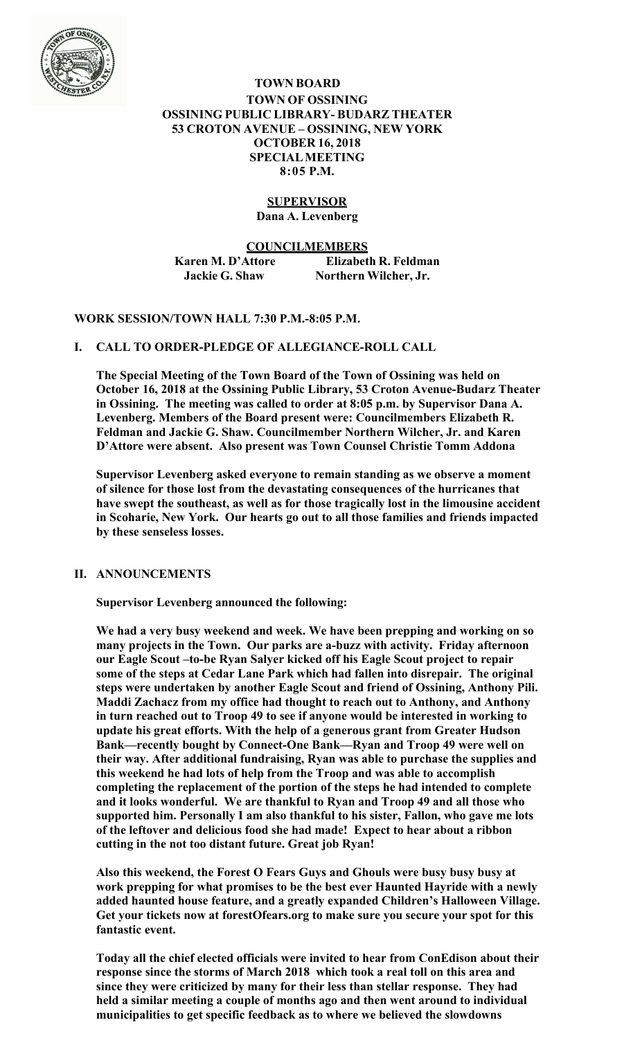

**TOWN BOARD TOWN OF OSSINING OSSINING PUBLIC LIBRARY- BUDARZ THEATER 53 CROTON AVENUE – OSSINING, NEW YORK OCTOBER 16, 2018 SPECIAL MEETING 8:05 P.M.**

# **SUPERVISOR**

**Dana A. Levenberg**

**COUNCILMEMBERS Karen M. D'Attore Elizabeth R. Feldman Jackie G. Shaw Northern Wilcher, Jr.** 

## **WORK SESSION/TOWN HALL 7:30 P.M.-8:05 P.M.**

### **I. CALL TO ORDER-PLEDGE OF ALLEGIANCE-ROLL CALL**

**The Special Meeting of the Town Board of the Town of Ossining was held on October 16, 2018 at the Ossining Public Library, 53 Croton Avenue-Budarz Theater in Ossining. The meeting was called to order at 8:05 p.m. by Supervisor Dana A. Levenberg. Members of the Board present were: Councilmembers Elizabeth R. Feldman and Jackie G. Shaw. Councilmember Northern Wilcher, Jr. and Karen D'Attore were absent. Also present was Town Counsel Christie Tomm Addona** 

**Supervisor Levenberg asked everyone to remain standing as we observe a moment of silence for those lost from the devastating consequences of the hurricanes that have swept the southeast, as well as for those tragically lost in the limousine accident in Scoharie, New York. Our hearts go out to all those families and friends impacted by these senseless losses.** 

### **II. ANNOUNCEMENTS**

**Supervisor Levenberg announced the following:** 

**We had a very busy weekend and week. We have been prepping and working on so many projects in the Town. Our parks are a-buzz with activity. Friday afternoon our Eagle Scout –to-be Ryan Salyer kicked off his Eagle Scout project to repair some of the steps at Cedar Lane Park which had fallen into disrepair. The original steps were undertaken by another Eagle Scout and friend of Ossining, Anthony Pili. Maddi Zachacz from my office had thought to reach out to Anthony, and Anthony in turn reached out to Troop 49 to see if anyone would be interested in working to update his great efforts. With the help of a generous grant from Greater Hudson Bank—recently bought by Connect-One Bank—Ryan and Troop 49 were well on their way. After additional fundraising, Ryan was able to purchase the supplies and this weekend he had lots of help from the Troop and was able to accomplish completing the replacement of the portion of the steps he had intended to complete and it looks wonderful. We are thankful to Ryan and Troop 49 and all those who supported him. Personally I am also thankful to his sister, Fallon, who gave me lots of the leftover and delicious food she had made! Expect to hear about a ribbon cutting in the not too distant future. Great job Ryan!** 

**Also this weekend, the Forest O Fears Guys and Ghouls were busy busy busy at work prepping for what promises to be the best ever Haunted Hayride with a newly added haunted house feature, and a greatly expanded Children's Halloween Village. Get your tickets now at forestOfears.org to make sure you secure your spot for this fantastic event.** 

**Today all the chief elected officials were invited to hear from ConEdison about their response since the storms of March 2018 which took a real toll on this area and since they were criticized by many for their less than stellar response. They had held a similar meeting a couple of months ago and then went around to individual municipalities to get specific feedback as to where we believed the slowdowns**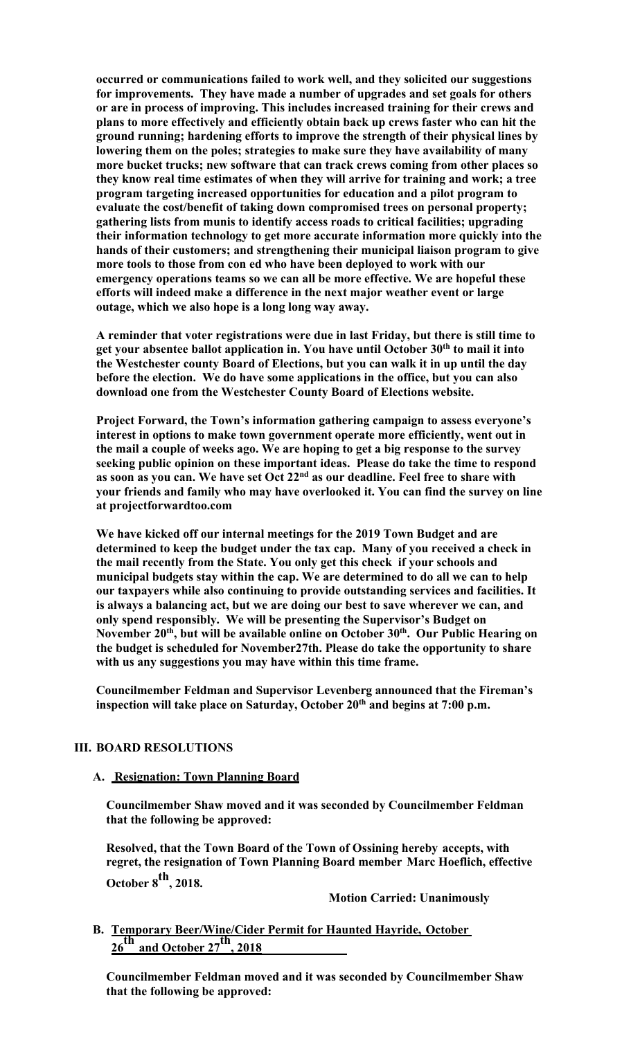**occurred or communications failed to work well, and they solicited our suggestions for improvements. They have made a number of upgrades and set goals for others or are in process of improving. This includes increased training for their crews and plans to more effectively and efficiently obtain back up crews faster who can hit the ground running; hardening efforts to improve the strength of their physical lines by lowering them on the poles; strategies to make sure they have availability of many more bucket trucks; new software that can track crews coming from other places so they know real time estimates of when they will arrive for training and work; a tree program targeting increased opportunities for education and a pilot program to evaluate the cost/benefit of taking down compromised trees on personal property; gathering lists from munis to identify access roads to critical facilities; upgrading their information technology to get more accurate information more quickly into the hands of their customers; and strengthening their municipal liaison program to give more tools to those from con ed who have been deployed to work with our emergency operations teams so we can all be more effective. We are hopeful these efforts will indeed make a difference in the next major weather event or large outage, which we also hope is a long long way away.** 

**A reminder that voter registrations were due in last Friday, but there is still time to get your absentee ballot application in. You have until October 30th to mail it into the Westchester county Board of Elections, but you can walk it in up until the day before the election. We do have some applications in the office, but you can also download one from the Westchester County Board of Elections website.** 

**Project Forward, the Town's information gathering campaign to assess everyone's interest in options to make town government operate more efficiently, went out in the mail a couple of weeks ago. We are hoping to get a big response to the survey seeking public opinion on these important ideas. Please do take the time to respond as soon as you can. We have set Oct 22nd as our deadline. Feel free to share with your friends and family who may have overlooked it. You can find the survey on line at projectforwardtoo.com** 

**We have kicked off our internal meetings for the 2019 Town Budget and are determined to keep the budget under the tax cap. Many of you received a check in the mail recently from the State. You only get this check if your schools and municipal budgets stay within the cap. We are determined to do all we can to help our taxpayers while also continuing to provide outstanding services and facilities. It is always a balancing act, but we are doing our best to save wherever we can, and only spend responsibly. We will be presenting the Supervisor's Budget on**  November 20<sup>th</sup>, but will be available online on October 30<sup>th</sup>. Our Public Hearing on **the budget is scheduled for November27th. Please do take the opportunity to share with us any suggestions you may have within this time frame.** 

**Councilmember Feldman and Supervisor Levenberg announced that the Fireman's inspection will take place on Saturday, October 20th and begins at 7:00 p.m.** 

## **III. BOARD RESOLUTIONS**

## **A. Resignation: Town Planning Board**

**Councilmember Shaw moved and it was seconded by Councilmember Feldman that the following be approved:** 

**Resolved, that the Town Board of the Town of Ossining hereby accepts, with regret, the resignation of Town Planning Board member Marc Hoeflich, effective October 8th, 2018.** 

 **Motion Carried: Unanimously** 

**B. Temporary Beer/Wine/Cider Permit for Haunted Hayride, October 26th and October 27th, 2018**

**Councilmember Feldman moved and it was seconded by Councilmember Shaw that the following be approved:**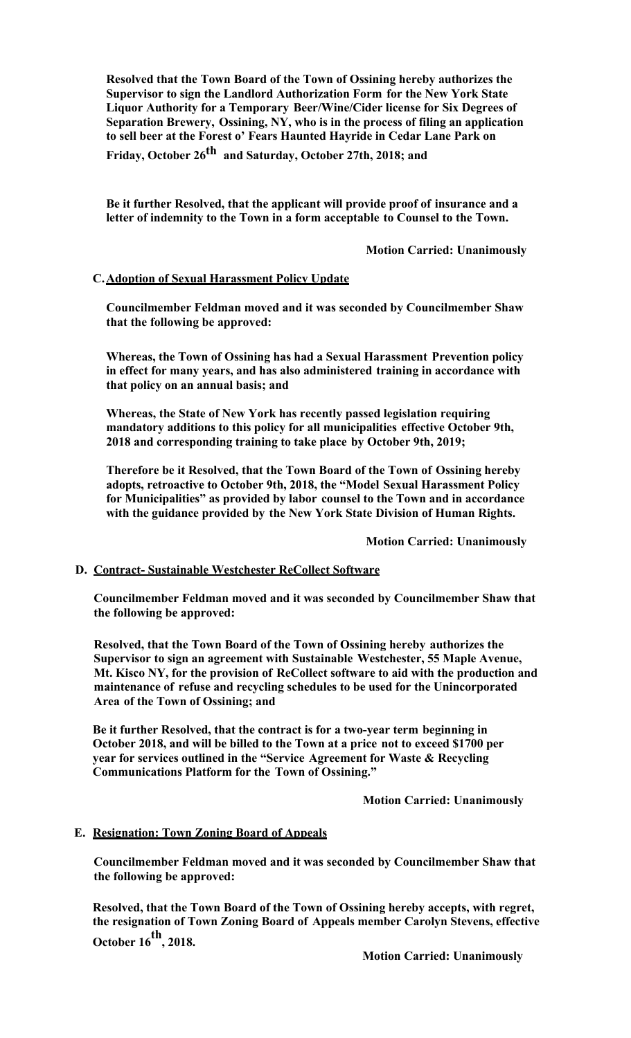**Resolved that the Town Board of the Town of Ossining hereby authorizes the Supervisor to sign the Landlord Authorization Form for the New York State Liquor Authority for a Temporary Beer/Wine/Cider license for Six Degrees of Separation Brewery, Ossining, NY, who is in the process of filing an application to sell beer at the Forest o' Fears Haunted Hayride in Cedar Lane Park on Friday, October 26th and Saturday, October 27th, 2018; and** 

**Be it further Resolved, that the applicant will provide proof of insurance and a letter of indemnity to the Town in a form acceptable to Counsel to the Town.** 

 **Motion Carried: Unanimously**

### **C.Adoption of Sexual Harassment Policy Update**

**Councilmember Feldman moved and it was seconded by Councilmember Shaw that the following be approved:** 

**Whereas, the Town of Ossining has had a Sexual Harassment Prevention policy in effect for many years, and has also administered training in accordance with that policy on an annual basis; and**

**Whereas, the State of New York has recently passed legislation requiring mandatory additions to this policy for all municipalities effective October 9th, 2018 and corresponding training to take place by October 9th, 2019;**

**Therefore be it Resolved, that the Town Board of the Town of Ossining hereby adopts, retroactive to October 9th, 2018, the "Model Sexual Harassment Policy for Municipalities" as provided by labor counsel to the Town and in accordance with the guidance provided by the New York State Division of Human Rights.** 

 **Motion Carried: Unanimously**

#### **D. Contract- Sustainable Westchester ReCollect Software**

**Councilmember Feldman moved and it was seconded by Councilmember Shaw that the following be approved:** 

**Resolved, that the Town Board of the Town of Ossining hereby authorizes the Supervisor to sign an agreement with Sustainable Westchester, 55 Maple Avenue, Mt. Kisco NY, for the provision of ReCollect software to aid with the production and maintenance of refuse and recycling schedules to be used for the Unincorporated Area of the Town of Ossining; and**

**Be it further Resolved, that the contract is for a two-year term beginning in October 2018, and will be billed to the Town at a price not to exceed \$1700 per year for services outlined in the "Service Agreement for Waste & Recycling Communications Platform for the Town of Ossining."** 

 **Motion Carried: Unanimously**

#### **E. Resignation: Town Zoning Board of Appeals**

**Councilmember Feldman moved and it was seconded by Councilmember Shaw that the following be approved:** 

**Resolved, that the Town Board of the Town of Ossining hereby accepts, with regret, the resignation of Town Zoning Board of Appeals member Carolyn Stevens, effective October 16th, 2018.** 

 **Motion Carried: Unanimously**